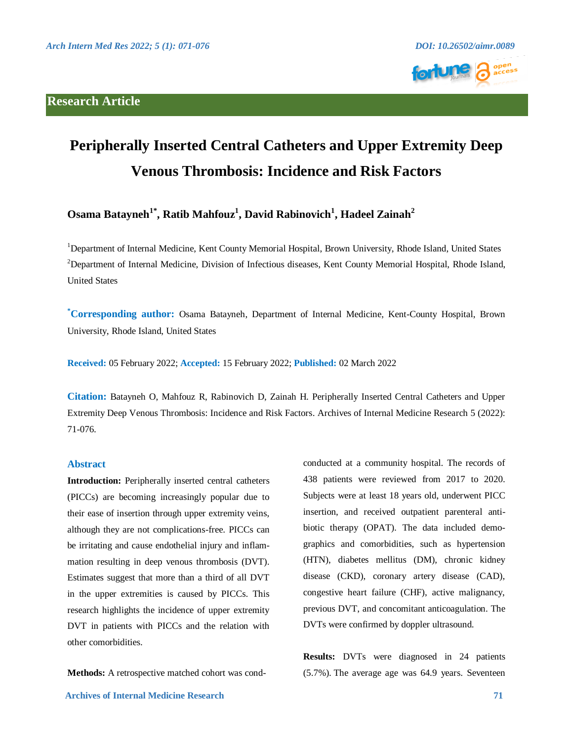## **Research Article**





# **Peripherally Inserted Central Catheters and Upper Extremity Deep Venous Thrombosis: Incidence and Risk Factors**

**Osama Batayneh1\*, Ratib Mahfouz<sup>1</sup> , David Rabinovich<sup>1</sup> , Hadeel Zainah<sup>2</sup>**

<sup>1</sup>Department of Internal Medicine, Kent County Memorial Hospital, Brown University, Rhode Island, United States <sup>2</sup>Department of Internal Medicine, Division of Infectious diseases, Kent County Memorial Hospital, Rhode Island, United States

**\*Corresponding author:** Osama Batayneh, Department of Internal Medicine, Kent-County Hospital, Brown University, Rhode Island, United States

**Received:** 05 February 2022; **Accepted:** 15 February 2022; **Published:** 02 March 2022

**Citation:** Batayneh O, Mahfouz R, Rabinovich D, Zainah H. Peripherally Inserted Central Catheters and Upper Extremity Deep Venous Thrombosis: Incidence and Risk Factors. Archives of Internal Medicine Research 5 (2022): 71-076.

## **Abstract**

**Introduction:** Peripherally inserted central catheters (PICCs) are becoming increasingly popular due to their ease of insertion through upper extremity veins, although they are not complications-free. PICCs can be irritating and cause endothelial injury and inflammation resulting in deep venous thrombosis (DVT). Estimates suggest that more than a third of all DVT in the upper extremities is caused by PICCs. This research highlights the incidence of upper extremity DVT in patients with PICCs and the relation with other comorbidities.

**Methods:** A retrospective matched cohort was cond-

conducted at a community hospital. The records of 438 patients were reviewed from 2017 to 2020. Subjects were at least 18 years old, underwent PICC insertion, and received outpatient parenteral antibiotic therapy (OPAT). The data included demographics and comorbidities, such as hypertension (HTN), diabetes mellitus (DM), chronic kidney disease (CKD), coronary artery disease (CAD), congestive heart failure (CHF), active malignancy, previous DVT, and concomitant anticoagulation. The DVTs were confirmed by doppler ultrasound.

**Results:** DVTs were diagnosed in 24 patients (5.7%). The average age was 64.9 years. Seventeen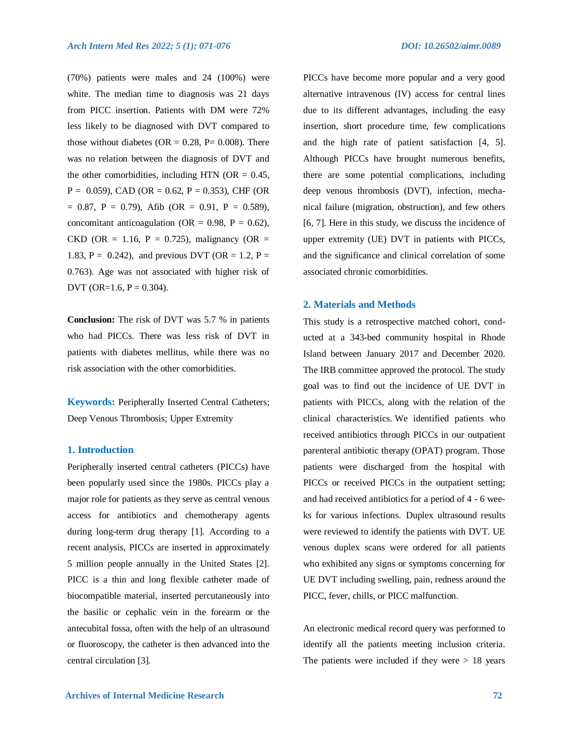(70%) patients were males and 24 (100%) were white. The median time to diagnosis was 21 days from PICC insertion. Patients with DM were 72% less likely to be diagnosed with DVT compared to those without diabetes ( $OR = 0.28$ ,  $P = 0.008$ ). There was no relation between the diagnosis of DVT and the other comorbidities, including HTN ( $OR = 0.45$ ,  $P = 0.059$ ), CAD (OR = 0.62, P = 0.353), CHF (OR  $= 0.87$ , P = 0.79), Afib (OR = 0.91, P = 0.589), concomitant anticoagulation (OR =  $0.98$ , P =  $0.62$ ), CKD (OR = 1.16, P = 0.725), malignancy (OR = 1.83, P = 0.242), and previous DVT (OR = 1.2, P = 0.763). Age was not associated with higher risk of DVT (OR= $1.6, P = 0.304$ ).

**Conclusion:** The risk of DVT was 5.7 % in patients who had PICCs. There was less risk of DVT in patients with diabetes mellitus, while there was no risk association with the other comorbidities.

**Keywords:** Peripherally Inserted Central Catheters; Deep Venous Thrombosis; Upper Extremity

## **1. Introduction**

Peripherally inserted central catheters (PICCs) have been popularly used since the 1980s. PICCs play a major role for patients as they serve as central venous access for antibiotics and chemotherapy agents during long-term drug therapy [1]. According to a recent analysis, PICCs are inserted in approximately 5 million people annually in the United States [2]. PICC is a thin and long flexible catheter made of biocompatible material, inserted percutaneously into the basilic or cephalic vein in the forearm or the antecubital fossa, often with the help of an ultrasound or fluoroscopy, the catheter is then advanced into the central circulation [3].

PICCs have become more popular and a very good alternative intravenous (IV) access for central lines due to its different advantages, including the easy insertion, short procedure time, few complications and the high rate of patient satisfaction [4, 5]. Although PICCs have brought numerous benefits, there are some potential complications, including deep venous thrombosis (DVT), infection, mechanical failure (migration, obstruction), and few others [6, 7]. Here in this study, we discuss the incidence of upper extremity (UE) DVT in patients with PICCs, and the significance and clinical correlation of some associated chronic comorbidities.

#### **2. Materials and Methods**

This study is a retrospective matched cohort, conducted at a 343-bed community hospital in Rhode Island between January 2017 and December 2020. The IRB committee approved the protocol. The study goal was to find out the incidence of UE DVT in patients with PICCs, along with the relation of the clinical characteristics. We identified patients who received antibiotics through PICCs in our outpatient parenteral antibiotic therapy (OPAT) program. Those patients were discharged from the hospital with PICCs or received PICCs in the outpatient setting; and had received antibiotics for a period of 4 - 6 weeks for various infections. Duplex ultrasound results were reviewed to identify the patients with DVT. UE venous duplex scans were ordered for all patients who exhibited any signs or symptoms concerning for UE DVT including swelling, pain, redness around the PICC, fever, chills, or PICC malfunction.

An electronic medical record query was performed to identify all the patients meeting inclusion criteria. The patients were included if they were  $> 18$  years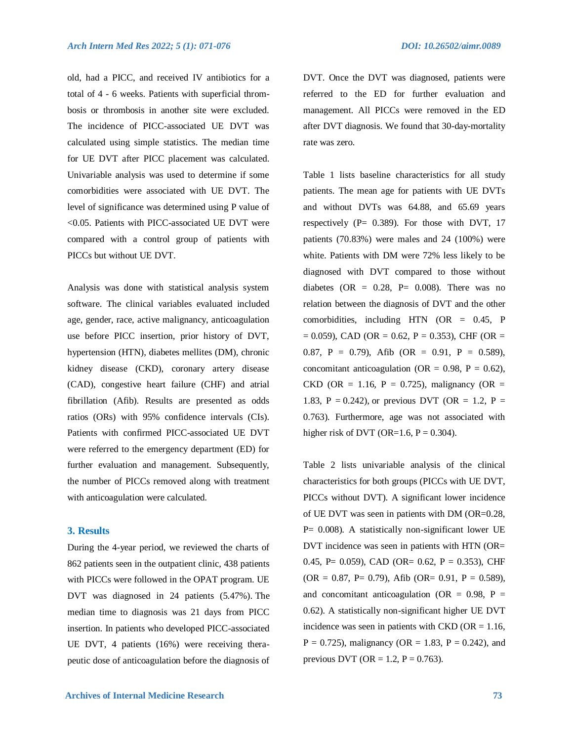old, had a PICC, and received IV antibiotics for a total of 4 - 6 weeks. Patients with superficial thrombosis or thrombosis in another site were excluded. The incidence of PICC-associated UE DVT was calculated using simple statistics. The median time for UE DVT after PICC placement was calculated. Univariable analysis was used to determine if some comorbidities were associated with UE DVT. The level of significance was determined using P value of <0.05. Patients with PICC-associated UE DVT were compared with a control group of patients with PICCs but without UE DVT.

Analysis was done with statistical analysis system software. The clinical variables evaluated included age, gender, race, active malignancy, anticoagulation use before PICC insertion, prior history of DVT, hypertension (HTN), diabetes mellites (DM), chronic kidney disease (CKD), coronary artery disease (CAD), congestive heart failure (CHF) and atrial fibrillation (Afib). Results are presented as odds ratios (ORs) with 95% confidence intervals (CIs). Patients with confirmed PICC-associated UE DVT were referred to the emergency department (ED) for further evaluation and management. Subsequently, the number of PICCs removed along with treatment with anticoagulation were calculated.

## **3. Results**

During the 4-year period, we reviewed the charts of 862 patients seen in the outpatient clinic, 438 patients with PICCs were followed in the OPAT program. UE DVT was diagnosed in 24 patients (5.47%). The median time to diagnosis was 21 days from PICC insertion. In patients who developed PICC-associated UE DVT, 4 patients (16%) were receiving therapeutic dose of anticoagulation before the diagnosis of DVT. Once the DVT was diagnosed, patients were referred to the ED for further evaluation and management. All PICCs were removed in the ED after DVT diagnosis. We found that 30-day-mortality rate was zero.

Table 1 lists baseline characteristics for all study patients. The mean age for patients with UE DVTs and without DVTs was 64.88, and 65.69 years respectively ( $P = 0.389$ ). For those with DVT, 17 patients (70.83%) were males and 24 (100%) were white. Patients with DM were 72% less likely to be diagnosed with DVT compared to those without diabetes (OR =  $0.28$ , P=  $0.008$ ). There was no relation between the diagnosis of DVT and the other comorbidities, including HTN (OR = 0.45, P  $= 0.059$ ), CAD (OR  $= 0.62$ , P  $= 0.353$ ), CHF (OR  $=$ 0.87, P = 0.79), Afib (OR = 0.91, P = 0.589), concomitant anticoagulation (OR =  $0.98$ , P =  $0.62$ ), CKD (OR = 1.16, P = 0.725), malignancy (OR = 1.83, P = 0.242), or previous DVT (OR = 1.2, P = 0.763). Furthermore, age was not associated with higher risk of DVT (OR=1.6,  $P = 0.304$ ).

Table 2 lists univariable analysis of the clinical characteristics for both groups (PICCs with UE DVT, PICCs without DVT). A significant lower incidence of UE DVT was seen in patients with DM (OR=0.28, P= 0.008). A statistically non-significant lower UE DVT incidence was seen in patients with HTN (OR= 0.45, P =  $0.059$ ), CAD (OR =  $0.62$ , P =  $0.353$ ), CHF  $(OR = 0.87, P = 0.79)$ , Afib  $(OR = 0.91, P = 0.589)$ , and concomitant anticoagulation (OR =  $0.98$ , P = 0.62). A statistically non-significant higher UE DVT incidence was seen in patients with  $CKD$  (OR = 1.16,  $P = 0.725$ , malignancy (OR = 1.83, P = 0.242), and previous DVT (OR = 1.2,  $P = 0.763$ ).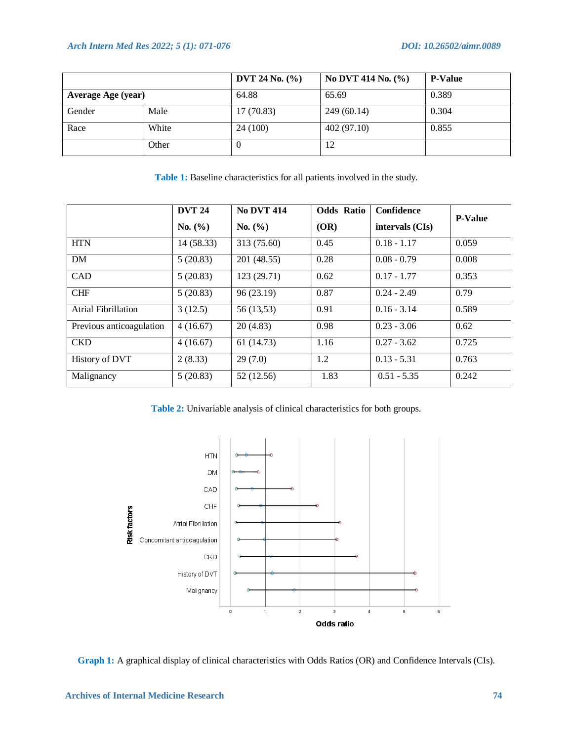|                    |       | DVT 24 No. $(\% )$ | No DVT 414 No. (%) | <b>P-Value</b> |
|--------------------|-------|--------------------|--------------------|----------------|
| Average Age (year) |       | 64.88              | 65.69              | 0.389          |
| Gender             | Male  | 17(70.83)          | 249(60.14)         | 0.304          |
| Race               | White | 24(100)            | 402(97.10)         | 0.855          |
|                    | Other |                    | 12                 |                |

**Table 1:** Baseline characteristics for all patients involved in the study.

|                          | <b>DVT 24</b> | <b>No DVT 414</b> | <b>Odds Ratio</b> | Confidence        | <b>P-Value</b> |  |
|--------------------------|---------------|-------------------|-------------------|-------------------|----------------|--|
|                          | No. (%)       | No. (%)           | (OR)              | intervals $(CIs)$ |                |  |
| <b>HTN</b>               | 14 (58.33)    | 313 (75.60)       | 0.45              | $0.18 - 1.17$     | 0.059          |  |
| DM                       | 5(20.83)      | 201 (48.55)       | 0.28              | $0.08 - 0.79$     | 0.008          |  |
| CAD                      | 5(20.83)      | 123 (29.71)       | 0.62              | $0.17 - 1.77$     | 0.353          |  |
| <b>CHF</b>               | 5(20.83)      | 96 (23.19)        | 0.87              | $0.24 - 2.49$     | 0.79           |  |
| Atrial Fibrillation      | 3(12.5)       | 56 (13,53)        | 0.91              | $0.16 - 3.14$     | 0.589          |  |
| Previous anticoagulation | 4(16.67)      | 20(4.83)          | 0.98              | $0.23 - 3.06$     | 0.62           |  |
| <b>CKD</b>               | 4(16.67)      | 61 (14.73)        | 1.16              | $0.27 - 3.62$     | 0.725          |  |
| History of DVT           | 2(8.33)       | 29(7.0)           | 1.2               | $0.13 - 5.31$     | 0.763          |  |
| Malignancy               | 5(20.83)      | 52 (12.56)        | 1.83              | $0.51 - 5.35$     | 0.242          |  |

**Table 2:** Univariable analysis of clinical characteristics for both groups.



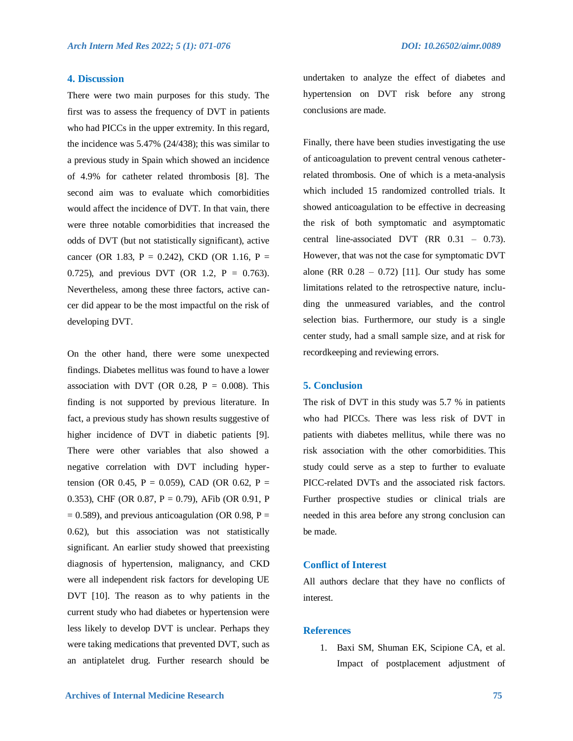#### **4. Discussion**

There were two main purposes for this study. The first was to assess the frequency of DVT in patients who had PICCs in the upper extremity. In this regard, the incidence was 5.47% (24/438); this was similar to a previous study in Spain which showed an incidence of 4.9% for catheter related thrombosis [8]. The second aim was to evaluate which comorbidities would affect the incidence of DVT. In that vain, there were three notable comorbidities that increased the odds of DVT (but not statistically significant), active cancer (OR 1.83, P = 0.242), CKD (OR 1.16, P = 0.725), and previous DVT (OR 1.2,  $P = 0.763$ ). Nevertheless, among these three factors, active cancer did appear to be the most impactful on the risk of developing DVT.

On the other hand, there were some unexpected findings. Diabetes mellitus was found to have a lower association with DVT (OR 0.28,  $P = 0.008$ ). This finding is not supported by previous literature. In fact, a previous study has shown results suggestive of higher incidence of DVT in diabetic patients [9]. There were other variables that also showed a negative correlation with DVT including hypertension (OR 0.45, P = 0.059), CAD (OR 0.62, P = 0.353), CHF (OR 0.87, P = 0.79), AFib (OR 0.91, P  $= 0.589$ ), and previous anticoagulation (OR 0.98, P = 0.62), but this association was not statistically significant. An earlier study showed that preexisting diagnosis of hypertension, malignancy, and CKD were all independent risk factors for developing UE DVT [10]. The reason as to why patients in the current study who had diabetes or hypertension were less likely to develop DVT is unclear. Perhaps they were taking medications that prevented DVT, such as an antiplatelet drug. Further research should be undertaken to analyze the effect of diabetes and hypertension on DVT risk before any strong conclusions are made.

Finally, there have been studies investigating the use of anticoagulation to prevent central venous catheterrelated thrombosis. One of which is a meta-analysis which included 15 randomized controlled trials. It showed anticoagulation to be effective in decreasing the risk of both symptomatic and asymptomatic central line-associated DVT  $(RR 0.31 - 0.73)$ . However, that was not the case for symptomatic DVT alone (RR  $0.28 - 0.72$ ) [11]. Our study has some limitations related to the retrospective nature, including the unmeasured variables, and the control selection bias. Furthermore, our study is a single center study, had a small sample size, and at risk for recordkeeping and reviewing errors.

#### **5. Conclusion**

The risk of DVT in this study was 5.7 % in patients who had PICCs. There was less risk of DVT in patients with diabetes mellitus, while there was no risk association with the other comorbidities. This study could serve as a step to further to evaluate PICC-related DVTs and the associated risk factors. Further prospective studies or clinical trials are needed in this area before any strong conclusion can be made.

#### **Conflict of Interest**

All authors declare that they have no conflicts of interest.

## **References**

1. Baxi SM, Shuman EK, Scipione CA, et al. Impact of postplacement adjustment of